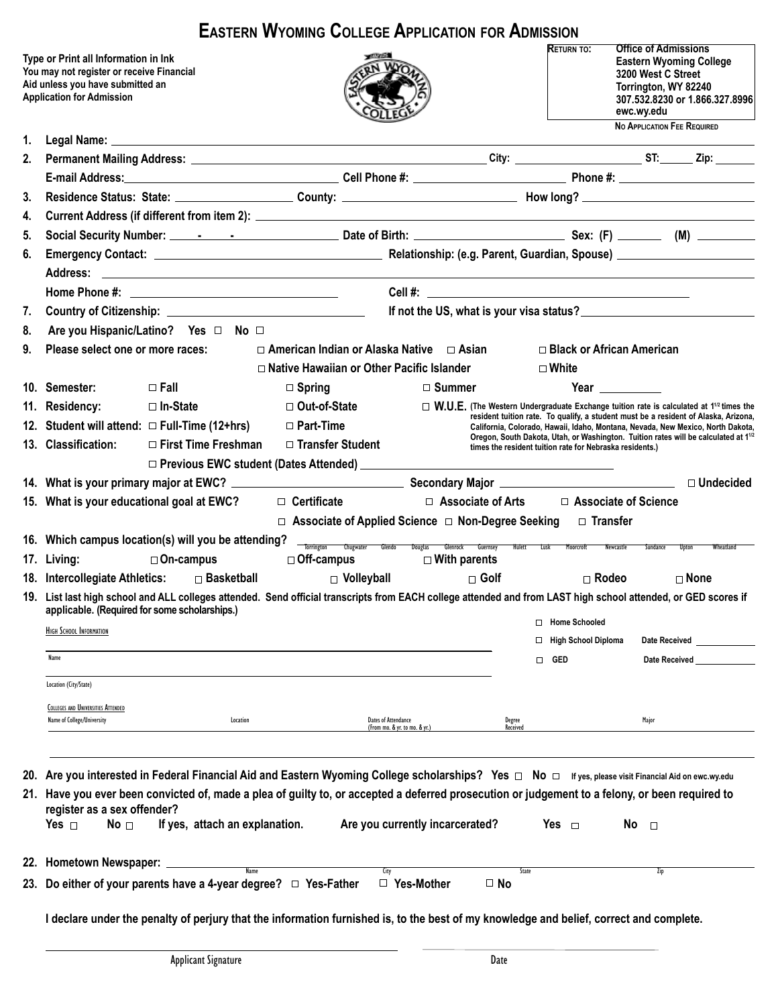|                                                                                                                                                           |                                                                                                                                                                                                                                                                                                                                                                                                            | <b>EASTERN WYOMING COLLEGE APPLICATION FOR ADMISSION</b>      |                                                     |                                                                                                                                                                        |                                                                                                                                                                                            |                  |
|-----------------------------------------------------------------------------------------------------------------------------------------------------------|------------------------------------------------------------------------------------------------------------------------------------------------------------------------------------------------------------------------------------------------------------------------------------------------------------------------------------------------------------------------------------------------------------|---------------------------------------------------------------|-----------------------------------------------------|------------------------------------------------------------------------------------------------------------------------------------------------------------------------|--------------------------------------------------------------------------------------------------------------------------------------------------------------------------------------------|------------------|
| Type or Print all Information in Ink<br>You may not register or receive Financial<br>Aid unless you have submitted an<br><b>Application for Admission</b> |                                                                                                                                                                                                                                                                                                                                                                                                            |                                                               |                                                     |                                                                                                                                                                        | <b>Office of Admissions</b><br><b>Eastern Wyoming College</b><br>3200 West C Street<br>Torrington, WY 82240<br>307.532.8230 or 1.866.327.8996<br>ewc.wy.edu<br>No APPLICATION FEE REQUIRED |                  |
| 1.                                                                                                                                                        |                                                                                                                                                                                                                                                                                                                                                                                                            |                                                               |                                                     |                                                                                                                                                                        |                                                                                                                                                                                            |                  |
| 2.                                                                                                                                                        |                                                                                                                                                                                                                                                                                                                                                                                                            |                                                               |                                                     |                                                                                                                                                                        |                                                                                                                                                                                            |                  |
|                                                                                                                                                           |                                                                                                                                                                                                                                                                                                                                                                                                            |                                                               |                                                     |                                                                                                                                                                        |                                                                                                                                                                                            |                  |
| 3.                                                                                                                                                        |                                                                                                                                                                                                                                                                                                                                                                                                            |                                                               |                                                     |                                                                                                                                                                        |                                                                                                                                                                                            |                  |
| 4.                                                                                                                                                        |                                                                                                                                                                                                                                                                                                                                                                                                            |                                                               |                                                     |                                                                                                                                                                        |                                                                                                                                                                                            |                  |
| 5.                                                                                                                                                        |                                                                                                                                                                                                                                                                                                                                                                                                            |                                                               |                                                     |                                                                                                                                                                        |                                                                                                                                                                                            |                  |
| 6.                                                                                                                                                        |                                                                                                                                                                                                                                                                                                                                                                                                            |                                                               |                                                     |                                                                                                                                                                        |                                                                                                                                                                                            |                  |
|                                                                                                                                                           |                                                                                                                                                                                                                                                                                                                                                                                                            |                                                               |                                                     |                                                                                                                                                                        |                                                                                                                                                                                            |                  |
|                                                                                                                                                           |                                                                                                                                                                                                                                                                                                                                                                                                            |                                                               |                                                     |                                                                                                                                                                        |                                                                                                                                                                                            |                  |
| 7.                                                                                                                                                        |                                                                                                                                                                                                                                                                                                                                                                                                            |                                                               | If not the US, what is your visa status?            |                                                                                                                                                                        |                                                                                                                                                                                            |                  |
| 8.                                                                                                                                                        | Are you Hispanic/Latino? Yes $\Box$ No $\Box$                                                                                                                                                                                                                                                                                                                                                              |                                                               |                                                     |                                                                                                                                                                        |                                                                                                                                                                                            |                  |
| 9.                                                                                                                                                        | Please select one or more races:                                                                                                                                                                                                                                                                                                                                                                           | $\Box$ American Indian or Alaska Native $\Box$ Asian          |                                                     | □ Black or African American                                                                                                                                            |                                                                                                                                                                                            |                  |
|                                                                                                                                                           |                                                                                                                                                                                                                                                                                                                                                                                                            | □ Native Hawaiian or Other Pacific Islander                   |                                                     | $\Box$ White                                                                                                                                                           |                                                                                                                                                                                            |                  |
|                                                                                                                                                           | 10. Semester:<br>$\Box$ Fall                                                                                                                                                                                                                                                                                                                                                                               | $\Box$ Spring                                                 | $\Box$ Summer                                       |                                                                                                                                                                        | Year $\_\_$                                                                                                                                                                                |                  |
|                                                                                                                                                           | 11. Residency:<br>□ In-State                                                                                                                                                                                                                                                                                                                                                                               | □ Out-of-State                                                |                                                     | $\Box$ W.U.E. (The Western Undergraduate Exchange tuition rate is calculated at 1 <sup>12</sup> times the                                                              |                                                                                                                                                                                            |                  |
|                                                                                                                                                           | 12. Student will attend: □ Full-Time (12+hrs)                                                                                                                                                                                                                                                                                                                                                              | □ Part-Time                                                   |                                                     | resident tuition rate. To qualify, a student must be a resident of Alaska, Arizona,<br>California, Colorado, Hawaii, Idaho, Montana, Nevada, New Mexico, North Dakota, |                                                                                                                                                                                            |                  |
|                                                                                                                                                           | 13. Classification:<br>$\Box$ First Time Freshman                                                                                                                                                                                                                                                                                                                                                          | □ Transfer Student                                            |                                                     | Oregon, South Dakota, Utah, or Washington. Tuition rates will be calculated at 1 <sup>1/2</sup><br>times the resident tuition rate for Nebraska residents.)            |                                                                                                                                                                                            |                  |
|                                                                                                                                                           |                                                                                                                                                                                                                                                                                                                                                                                                            | □ Previous EWC student (Dates Attended) ____________          |                                                     |                                                                                                                                                                        |                                                                                                                                                                                            |                  |
|                                                                                                                                                           | 14. What is your primary major at EWC? <b>All any of the Contract Contract Contract Contract Contract Contract Contract Contract Contract Contract Contract Contract Contract Contract Contract Contract Contract Contract Contr</b>                                                                                                                                                                       |                                                               |                                                     |                                                                                                                                                                        |                                                                                                                                                                                            | $\Box$ Undecided |
|                                                                                                                                                           | 15. What is your educational goal at EWC?                                                                                                                                                                                                                                                                                                                                                                  | $\Box$ Certificate                                            |                                                     | □ Associate of Arts □ Associate of Science                                                                                                                             |                                                                                                                                                                                            |                  |
|                                                                                                                                                           |                                                                                                                                                                                                                                                                                                                                                                                                            | $\Box$ Associate of Applied Science $\Box$ Non-Degree Seeking |                                                     | $\Box$ Transfer                                                                                                                                                        |                                                                                                                                                                                            |                  |
|                                                                                                                                                           | 16. Which campus location(s) will you be attending?                                                                                                                                                                                                                                                                                                                                                        |                                                               |                                                     |                                                                                                                                                                        |                                                                                                                                                                                            |                  |
|                                                                                                                                                           | 17. Living:<br>$\Box$ On-campus                                                                                                                                                                                                                                                                                                                                                                            | <b>Torrington</b><br>Chugwater Glendo<br>$\Box$ Off-campus    | Douglas Glenrock Guernsey<br>$\square$ With parents | Hulett Lusk Moorcroft                                                                                                                                                  | Newcastle<br>Sundance<br>Upton                                                                                                                                                             | Wheatland        |
|                                                                                                                                                           | 18. Intercollegiate Athletics: Discretional                                                                                                                                                                                                                                                                                                                                                                | $\Box$ Volleyball                                             | $\Box$ Golf                                         | $\Box$ Rodeo                                                                                                                                                           | $\Box$ None                                                                                                                                                                                |                  |
|                                                                                                                                                           | 19. List last high school and ALL colleges attended. Send official transcripts from EACH college attended and from LAST high school attended, or GED scores if                                                                                                                                                                                                                                             |                                                               |                                                     |                                                                                                                                                                        |                                                                                                                                                                                            |                  |
|                                                                                                                                                           | applicable. (Required for some scholarships.)                                                                                                                                                                                                                                                                                                                                                              |                                                               |                                                     |                                                                                                                                                                        |                                                                                                                                                                                            |                  |
|                                                                                                                                                           | <b>HIGH SCHOOL INFORMATION</b>                                                                                                                                                                                                                                                                                                                                                                             |                                                               |                                                     | □ Home Schooled                                                                                                                                                        |                                                                                                                                                                                            |                  |
|                                                                                                                                                           | Name                                                                                                                                                                                                                                                                                                                                                                                                       |                                                               |                                                     | <b>High School Diploma</b><br>□                                                                                                                                        | Date Received                                                                                                                                                                              |                  |
|                                                                                                                                                           |                                                                                                                                                                                                                                                                                                                                                                                                            |                                                               |                                                     | <b>GED</b><br>◻                                                                                                                                                        | <b>Date Received</b>                                                                                                                                                                       |                  |
|                                                                                                                                                           | Location (City/State)                                                                                                                                                                                                                                                                                                                                                                                      |                                                               |                                                     |                                                                                                                                                                        |                                                                                                                                                                                            |                  |
|                                                                                                                                                           | <b>COLLEGES AND UNIVERSITIES ATTENDED</b>                                                                                                                                                                                                                                                                                                                                                                  |                                                               |                                                     |                                                                                                                                                                        |                                                                                                                                                                                            |                  |
|                                                                                                                                                           | Name of College/University<br>Location                                                                                                                                                                                                                                                                                                                                                                     | Dates of Attendance                                           | Degree<br>(From mo. & yr. to mo. & yr.)<br>Received |                                                                                                                                                                        | Major                                                                                                                                                                                      |                  |
|                                                                                                                                                           |                                                                                                                                                                                                                                                                                                                                                                                                            |                                                               |                                                     |                                                                                                                                                                        |                                                                                                                                                                                            |                  |
|                                                                                                                                                           |                                                                                                                                                                                                                                                                                                                                                                                                            |                                                               |                                                     |                                                                                                                                                                        |                                                                                                                                                                                            |                  |
| 20.                                                                                                                                                       | Are you interested in Federal Financial Aid and Eastern Wyoming College scholarships? Yes $\Box$ No $\Box$ If yes, please visit Financial Aid on ewc.wy.edu<br>21. Have you ever been convicted of, made a plea of guilty to, or accepted a deferred prosecution or judgement to a felony, or been required to<br>register as a sex offender?<br>Yes $\Box$<br>No $\Box$<br>If yes, attach an explanation. |                                                               | Are you currently incarcerated?                     | Yes $\Box$                                                                                                                                                             | No $\Box$                                                                                                                                                                                  |                  |
|                                                                                                                                                           |                                                                                                                                                                                                                                                                                                                                                                                                            |                                                               |                                                     |                                                                                                                                                                        |                                                                                                                                                                                            |                  |
|                                                                                                                                                           | 22. Hometown Newspaper: ___________                                                                                                                                                                                                                                                                                                                                                                        | <b>Name</b><br>City                                           |                                                     | State                                                                                                                                                                  | Zip                                                                                                                                                                                        |                  |
|                                                                                                                                                           | 23. Do either of your parents have a 4-year degree? $\Box$ Yes-Father                                                                                                                                                                                                                                                                                                                                      |                                                               | $\Box$ Yes-Mother<br>$\Box$ No                      |                                                                                                                                                                        |                                                                                                                                                                                            |                  |
|                                                                                                                                                           | I declare under the penalty of perjury that the information furnished is, to the best of my knowledge and belief, correct and complete.                                                                                                                                                                                                                                                                    |                                                               |                                                     |                                                                                                                                                                        |                                                                                                                                                                                            |                  |